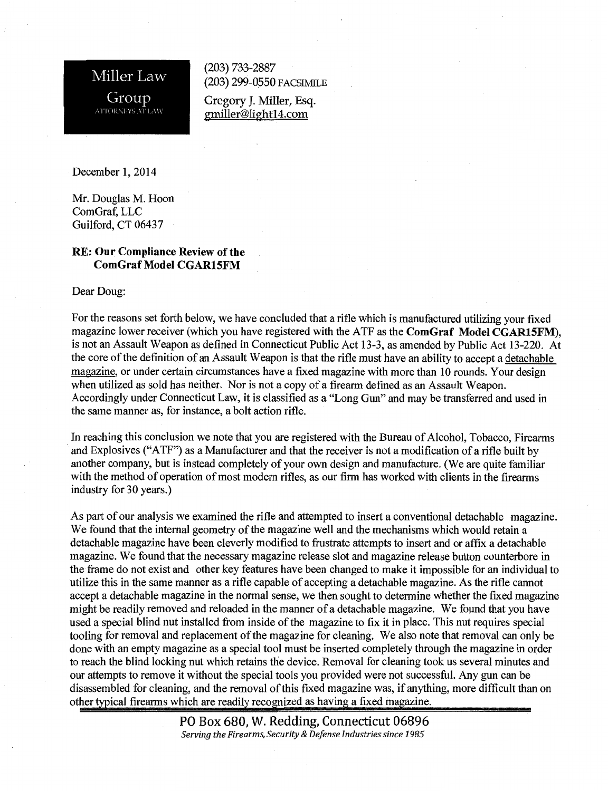Miller Law Group ATTORNEYS AT LAW

(203) 733-2887 (203) 299-0550 FACSIMILE

Gregory J. Miller, Esq. gmiller@light14.com

December 1, 2014

Mr. Douglas M. Hoon ComGraf, LLC Guilford, CT 06437

## RE: Our Compliance Review of the ComGraf Model CGAR15FM

Dear Doug:

For the reasons set forth below, we have concluded that a rifle which is manufactured utilizing your fixed magazine lower receiver (which you have registered with the ATF as the ComGraf Model CGAR15FM), is not an Assault Weapon as defined in Connecticut Public Act 13-3, as amended by Public Act 13-220. At the core of the definition of an Assault Weapon is that the rifle must have an ability to accept a detachable magazine, or under certain circumstances have a fixed magazine with more than 10 rounds. Your design when utilized as sold has neither. Nor is not a copy of a firearm defined as an Assault Weapon. Accordingly under Connecticut Law, it is classified as a "Long Gun" and may be transferred and used in the same manner as, for instance, a bolt action rifle.

In reaching this conclusion we note that you are registered with the Bureau of Alcohol, Tobacco, Firearms and Explosives ("ATF") as a Manufacturer and that the receiver is not a modification of a rifle built by another company, but is instead completely of your own design and manufacture. (We are quite familiar with the method of operation of most modern rifles, as our firm has worked with clients in the firearms industry for 30 years.)

As part of our analysis we examined the rifle and attempted to insert a conventional detachable magazine. We found that the internal geometry of the magazine well and the mechanisms which would retain a detachable magazine have been cleverly modified to frustrate attempts to insert and or affix a detachable magazine. We found that the necessary magazine release slot and magazine release button counterbore in the frame do not exist and other key features have been changed to make it impossible for an individual to utilize this in the same manner as a rifle capable of accepting a detachable magazine. As the rifle cannot accept a detachable magazine in the normal sense, we then sought to determine whether the fixed magazine might be readily removed and reloaded in the manner of a detachable magazine. We found that you have used a special blind nut installed from inside of the magazine to fix it in place. This nut requires special tooling for removal and replacement of the magazine for cleaning. We also note that removal can only be done with an empty magazine as a special tool must be inserted completely through the magazine in order to reach the blind locking nut which retains the device. Removal for cleaning took us several minutes and our attempts to remove it without the special tools you provided were not successful. Any gun can be disassembled for cleaning, and the removal of this fixed magazine was, if anything, more difficult than on other typical firearms which are readily recognized as having a fixed magazine.

> PO Box 680, W. Redding, Connecticut 06896 *Serving the Firearms, Security* & *Defense Industries since 1985*